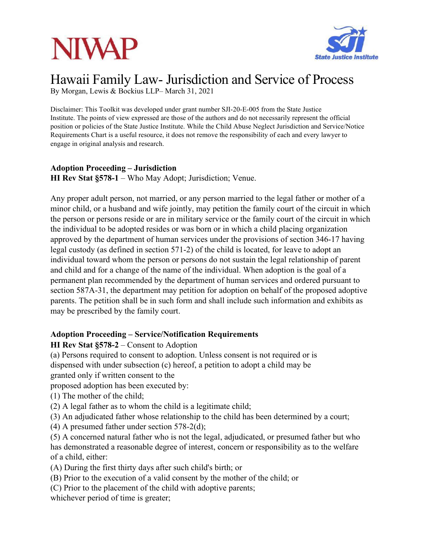## **NIVAP**



## Hawaii Family Law- Jurisdiction and Service of Process

By Morgan, Lewis & Bockius LLP– March 31, 2021

Disclaimer: This Toolkit was developed under grant number SJI-20-E-005 from the State Justice Institute. The points of view expressed are those of the authors and do not necessarily represent the official position or policies of the State Justice Institute. While the Child Abuse Neglect Jurisdiction and Service/Notice Requirements Chart is a useful resource, it does not remove the responsibility of each and every lawyer to engage in original analysis and research.

### **Adoption Proceeding – Jurisdiction HI Rev Stat §578-1** – Who May Adopt; Jurisdiction; Venue.

Any proper adult person, not married, or any person married to the legal father or mother of a minor child, or a husband and wife jointly, may petition the family court of the circuit in which the person or persons reside or are in military service or the family court of the circuit in which the individual to be adopted resides or was born or in which a child placing organization approved by the department of human services under the provisions of section 346-17 having legal custody (as defined in section 571-2) of the child is located, for leave to adopt an individual toward whom the person or persons do not sustain the legal relationship of parent and child and for a change of the name of the individual. When adoption is the goal of a permanent plan recommended by the department of human services and ordered pursuant to section 587A-31, the department may petition for adoption on behalf of the proposed adoptive parents. The petition shall be in such form and shall include such information and exhibits as may be prescribed by the family court.

### **Adoption Proceeding – Service/Notification Requirements**

### **HI Rev Stat §578-2** – Consent to Adoption

(a) Persons required to consent to adoption. Unless consent is not required or is dispensed with under subsection (c) hereof, a petition to adopt a child may be granted only if written consent to the

proposed adoption has been executed by:

- (1) The mother of the child;
- (2) A legal father as to whom the child is a legitimate child;
- (3) An adjudicated father whose relationship to the child has been determined by a court;
- (4) A presumed father under section 578-2(d);

(5) A concerned natural father who is not the legal, adjudicated, or presumed father but who has demonstrated a reasonable degree of interest, concern or responsibility as to the welfare of a child, either:

- (A) During the first thirty days after such child's birth; or
- (B) Prior to the execution of a valid consent by the mother of the child; or
- (C) Prior to the placement of the child with adoptive parents;

whichever period of time is greater;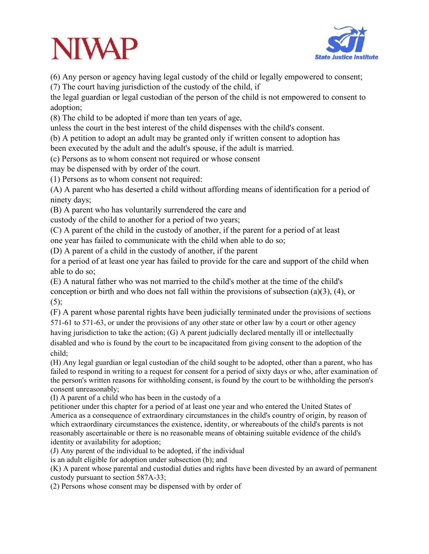# **NIWA**



(6) Any person or agency having legal custody of the child or legally empowered to consent;

(7) The court having jurisdiction of the custody of the child, if

the legal guardian or legal custodian of the person of the child is not empowered to consent to adoption;

(8) The child to be adopted if more than ten years of age,

unless the court in the best interest of the child dispenses with the child's consent.

(b) A petition to adopt an adult may be granted only if written consent to adoption has

been executed by the adult and the adult's spouse, if the adult is married.

(c) Persons as to whom consent not required or whose consent

may be dispensed with by order of the court.

(1) Persons as to whom consent not required:

(A) A parent who has deserted a child without affording means of identification for a period of ninety days;

(B) A parent who has voluntarily surrendered the care and

custody of the child to another for a period of two years;

(C) A parent of the child in the custody of another, if the parent for a period of at least

one year has failed to communicate with the child when able to do so;

(D) A parent of a child in the custody of another, if the parent

for a period of at least one year has failed to provide for the care and support of the child when able to do so;

(E) A natural father who was not married to the child's mother at the time of the child's conception or birth and who does not fall within the provisions of subsection (a)(3), (4), or  $(5)$ ;

(F) A parent whose parental rights have been judicially terminated under the provisions of sections 571-61 to 571-63, or under the provisions of any other state or other law by a court or other agency having jurisdiction to take the action; (G) A parent judicially declared mentally ill or intellectually disabled and who is found by the court to be incapacitated from giving consent to the adoption of the child;

(H) Any legal guardian or legal custodian of the child sought to be adopted, other than a parent, who has failed to respond in writing to a request for consent for a period of sixty days or who, after examination of the person's written reasons for withholding consent, is found by the court to be withholding the person's consent unreasonably;

(I) A parent of a child who has been in the custody of a

petitioner under this chapter for a period of at least one year and who entered the United States of America as a consequence of extraordinary circumstances in the child's country of origin, by reason of which extraordinary circumstances the existence, identity, or whereabouts of the child's parents is not reasonably ascertainable or there is no reasonable means of obtaining suitable evidence of the child's identity or availability for adoption;

(J) Any parent of the individual to be adopted, if the individual

is an adult eligible for adoption under subsection (b); and

(K) A parent whose parental and custodial duties and rights have been divested by an award of permanent custody pursuant to section 587A-33;

(2) Persons whose consent may be dispensed with by order of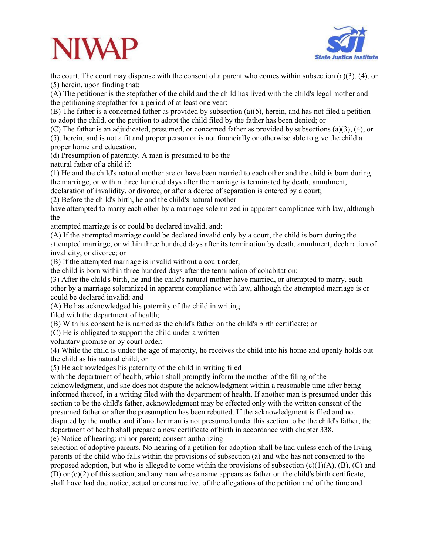

the court. The court may dispense with the consent of a parent who comes within subsection (a)(3), (4), or (5) herein, upon finding that:

(A) The petitioner is the stepfather of the child and the child has lived with the child's legal mother and the petitioning stepfather for a period of at least one year;

(B) The father is a concerned father as provided by subsection (a)(5), herein, and has not filed a petition to adopt the child, or the petition to adopt the child filed by the father has been denied; or

(C) The father is an adjudicated, presumed, or concerned father as provided by subsections (a)(3), (4), or

(5), herein, and is not a fit and proper person or is not financially or otherwise able to give the child a proper home and education.

(d) Presumption of paternity. A man is presumed to be the

natural father of a child if:

(1) He and the child's natural mother are or have been married to each other and the child is born during the marriage, or within three hundred days after the marriage is terminated by death, annulment,

declaration of invalidity, or divorce, or after a decree of separation is entered by a court;

(2) Before the child's birth, he and the child's natural mother

have attempted to marry each other by a marriage solemnized in apparent compliance with law, although the

attempted marriage is or could be declared invalid, and:

(A) If the attempted marriage could be declared invalid only by a court, the child is born during the attempted marriage, or within three hundred days after its termination by death, annulment, declaration of invalidity, or divorce; or

(B) If the attempted marriage is invalid without a court order,

the child is born within three hundred days after the termination of cohabitation;

(3) After the child's birth, he and the child's natural mother have married, or attempted to marry, each other by a marriage solemnized in apparent compliance with law, although the attempted marriage is or could be declared invalid; and

(A) He has acknowledged his paternity of the child in writing

filed with the department of health;

(B) With his consent he is named as the child's father on the child's birth certificate; or

(C) He is obligated to support the child under a written

voluntary promise or by court order;

(4) While the child is under the age of majority, he receives the child into his home and openly holds out the child as his natural child; or

(5) He acknowledges his paternity of the child in writing filed

with the department of health, which shall promptly inform the mother of the filing of the acknowledgment, and she does not dispute the acknowledgment within a reasonable time after being informed thereof, in a writing filed with the department of health. If another man is presumed under this section to be the child's father, acknowledgment may be effected only with the written consent of the presumed father or after the presumption has been rebutted. If the acknowledgment is filed and not disputed by the mother and if another man is not presumed under this section to be the child's father, the department of health shall prepare a new certificate of birth in accordance with chapter 338. (e) Notice of hearing; minor parent; consent authorizing

selection of adoptive parents. No hearing of a petition for adoption shall be had unless each of the living parents of the child who falls within the provisions of subsection (a) and who has not consented to the proposed adoption, but who is alleged to come within the provisions of subsection  $(c)(1)(A)$ ,  $(B)$ ,  $(C)$  and (D) or (c)(2) of this section, and any man whose name appears as father on the child's birth certificate, shall have had due notice, actual or constructive, of the allegations of the petition and of the time and